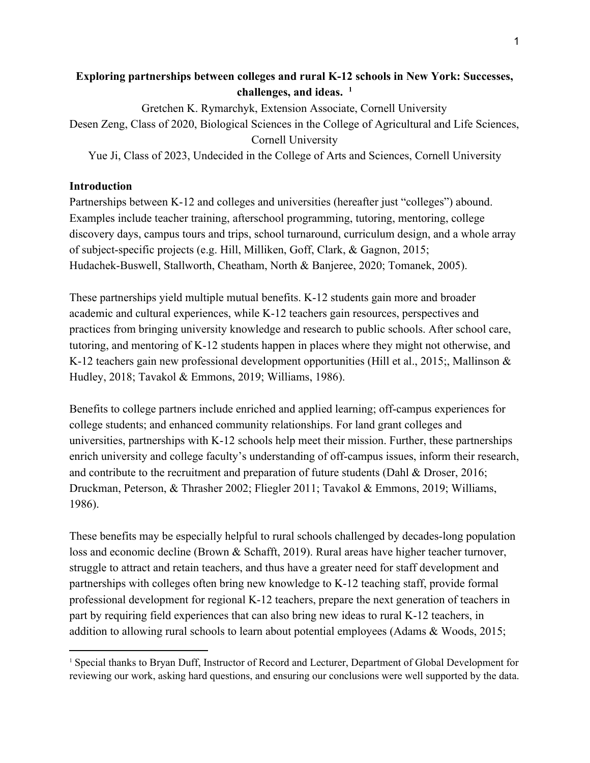# **Exploring partnerships between colleges and rural K-12 schools in New York: Successes, challenges, and ideas. <sup>1</sup>**

Gretchen K. Rymarchyk, Extension Associate, Cornell University Desen Zeng, Class of 2020, Biological Sciences in the College of Agricultural and Life Sciences, Cornell University

Yue Ji, Class of 2023, Undecided in the College of Arts and Sciences, Cornell University

# **Introduction**

Partnerships between K-12 and colleges and universities (hereafter just "colleges") abound. Examples include teacher training, afterschool programming, tutoring, mentoring, college discovery days, campus tours and trips, school turnaround, curriculum design, and a whole array of subject-specific projects (e.g. Hill, Milliken, Goff, Clark, & Gagnon, 2015; Hudachek-Buswell, Stallworth, Cheatham, North & Banjeree, 2020; Tomanek, 2005).

These partnerships yield multiple mutual benefits. K-12 students gain more and broader academic and cultural experiences, while K-12 teachers gain resources, perspectives and practices from bringing university knowledge and research to public schools. After school care, tutoring, and mentoring of K-12 students happen in places where they might not otherwise, and K-12 teachers gain new professional development opportunities (Hill et al., 2015;, Mallinson & Hudley, 2018; Tavakol & Emmons, 2019; Williams, 1986).

Benefits to college partners include enriched and applied learning; off-campus experiences for college students; and enhanced community relationships. For land grant colleges and universities, partnerships with K-12 schools help meet their mission. Further, these partnerships enrich university and college faculty's understanding of off-campus issues, inform their research, and contribute to the recruitment and preparation of future students (Dahl & Droser, 2016; Druckman, Peterson, & Thrasher 2002; Fliegler 2011; Tavakol & Emmons, 2019; Williams, 1986).

These benefits may be especially helpful to rural schools challenged by decades-long population loss and economic decline (Brown & Schafft, 2019). Rural areas have higher teacher turnover, struggle to attract and retain teachers, and thus have a greater need for staff development and partnerships with colleges often bring new knowledge to K-12 teaching staff, provide formal professional development for regional K-12 teachers, prepare the next generation of teachers in part by requiring field experiences that can also bring new ideas to rural K-12 teachers, in addition to allowing rural schools to learn about potential employees (Adams & Woods, 2015;

<sup>&</sup>lt;sup>1</sup> Special thanks to Bryan Duff, Instructor of Record and Lecturer, Department of Global Development for reviewing our work, asking hard questions, and ensuring our conclusions were well supported by the data.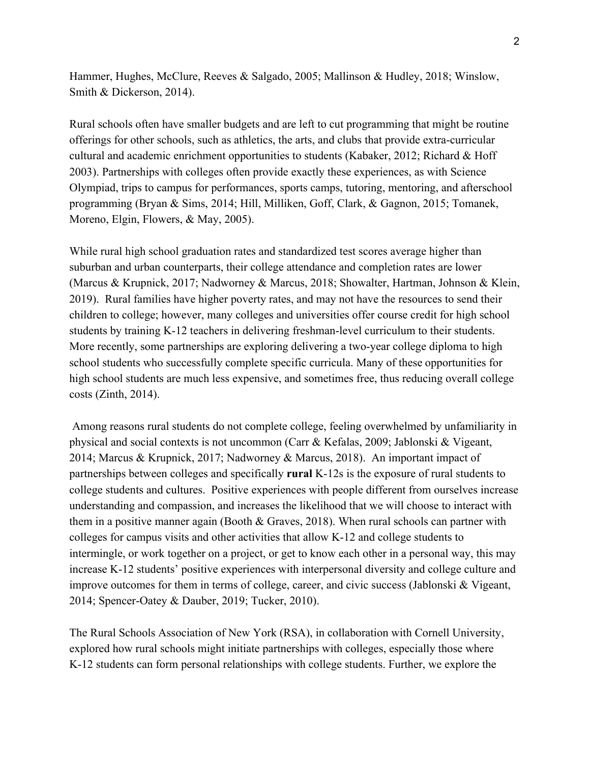Hammer, Hughes, McClure, Reeves & Salgado, 2005; Mallinson & Hudley, 2018; Winslow, Smith & Dickerson, 2014).

Rural schools often have smaller budgets and are left to cut programming that might be routine offerings for other schools, such as athletics, the arts, and clubs that provide extra-curricular cultural and academic enrichment opportunities to students (Kabaker, 2012; Richard & Hoff 2003). Partnerships with colleges often provide exactly these experiences, as with Science Olympiad, trips to campus for performances, sports camps, tutoring, mentoring, and afterschool programming (Bryan & Sims, 2014; Hill, Milliken, Goff, Clark, & Gagnon, 2015; Tomanek, Moreno, Elgin, Flowers, & May, 2005).

While rural high school graduation rates and standardized test scores average higher than suburban and urban counterparts, their college attendance and completion rates are lower (Marcus & Krupnick, 2017; Nadworney & Marcus, 2018; Showalter, Hartman, Johnson & Klein, 2019). Rural families have higher poverty rates, and may not have the resources to send their children to college; however, many colleges and universities offer course credit for high school students by training K-12 teachers in delivering freshman-level curriculum to their students. More recently, some partnerships are exploring delivering a two-year college diploma to high school students who successfully complete specific curricula. Many of these opportunities for high school students are much less expensive, and sometimes free, thus reducing overall college costs (Zinth, 2014).

 Among reasons rural students do not complete college, feeling overwhelmed by unfamiliarity in physical and social contexts is not uncommon (Carr & Kefalas, 2009; Jablonski & Vigeant, 2014; Marcus & Krupnick, 2017; Nadworney & Marcus, 2018). An important impact of partnerships between colleges and specifically **rural** K-12s is the exposure of rural students to college students and cultures. Positive experiences with people different from ourselves increase understanding and compassion, and increases the likelihood that we will choose to interact with them in a positive manner again (Booth & Graves, 2018). When rural schools can partner with colleges for campus visits and other activities that allow K-12 and college students to intermingle, or work together on a project, or get to know each other in a personal way, this may increase K-12 students' positive experiences with interpersonal diversity and college culture and improve outcomes for them in terms of college, career, and civic success (Jablonski & Vigeant, 2014; Spencer-Oatey & Dauber, 2019; Tucker, 2010).

The Rural Schools Association of New York (RSA), in collaboration with Cornell University, explored how rural schools might initiate partnerships with colleges, especially those where K-12 students can form personal relationships with college students. Further, we explore the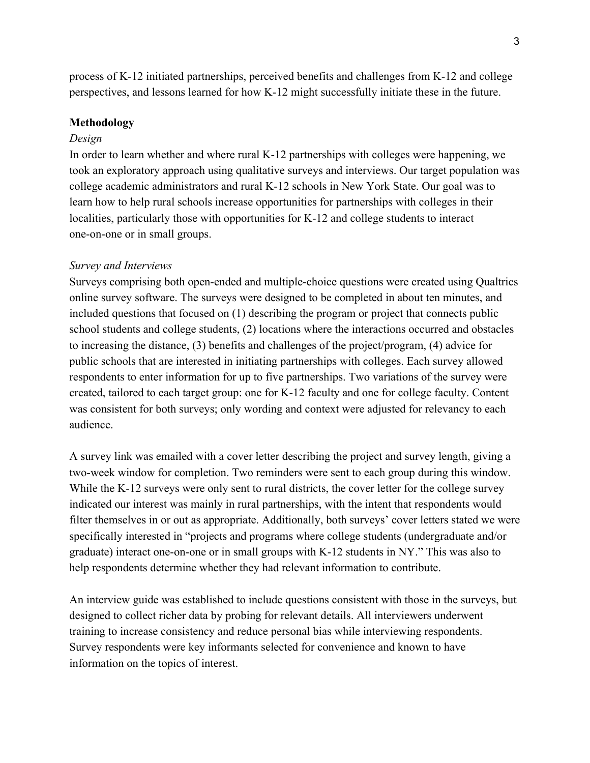process of K-12 initiated partnerships, perceived benefits and challenges from K-12 and college perspectives, and lessons learned for how K-12 might successfully initiate these in the future.

### **Methodology**

#### *Design*

In order to learn whether and where rural K-12 partnerships with colleges were happening, we took an exploratory approach using qualitative surveys and interviews. Our target population was college academic administrators and rural K-12 schools in New York State. Our goal was to learn how to help rural schools increase opportunities for partnerships with colleges in their localities, particularly those with opportunities for K-12 and college students to interact one-on-one or in small groups.

#### *Survey and Interviews*

Surveys comprising both open-ended and multiple-choice questions were created using Qualtrics online survey software. The surveys were designed to be completed in about ten minutes, and included questions that focused on (1) describing the program or project that connects public school students and college students, (2) locations where the interactions occurred and obstacles to increasing the distance, (3) benefits and challenges of the project/program, (4) advice for public schools that are interested in initiating partnerships with colleges. Each survey allowed respondents to enter information for up to five partnerships. Two variations of the survey were created, tailored to each target group: one for K-12 faculty and one for college faculty. Content was consistent for both surveys; only wording and context were adjusted for relevancy to each audience.

A survey link was emailed with a cover letter describing the project and survey length, giving a two-week window for completion. Two reminders were sent to each group during this window. While the K-12 surveys were only sent to rural districts, the cover letter for the college survey indicated our interest was mainly in rural partnerships, with the intent that respondents would filter themselves in or out as appropriate. Additionally, both surveys' cover letters stated we were specifically interested in "projects and programs where college students (undergraduate and/or graduate) interact one-on-one or in small groups with K-12 students in NY." This was also to help respondents determine whether they had relevant information to contribute.

An interview guide was established to include questions consistent with those in the surveys, but designed to collect richer data by probing for relevant details. All interviewers underwent training to increase consistency and reduce personal bias while interviewing respondents. Survey respondents were key informants selected for convenience and known to have information on the topics of interest.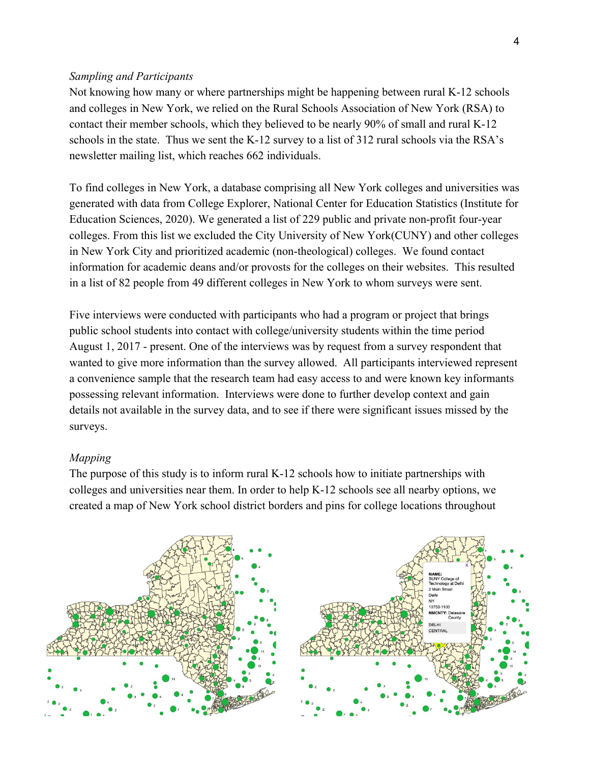#### *Sampling and Participants*

Not knowing how many or where partnerships might be happening between rural K-12 schools and colleges in New York, we relied on the Rural Schools Association of New York (RSA) to contact their member schools, which they believed to be nearly 90% of small and rural K-12 schools in the state. Thus we sent the K-12 survey to a list of 312 rural schools via the RSA's newsletter mailing list, which reaches 662 individuals.

To find colleges in New York, a database comprising all New York colleges and universities was generated with data from College Explorer, National Center for Education Statistics (Institute for Education Sciences, 2020). We generated a list of 229 public and private non-profit four-year colleges. From this list we excluded the City University of New York(CUNY) and other colleges in New York City and prioritized academic (non-theological) colleges. We found contact information for academic deans and/or provosts for the colleges on their websites. This resulted in a list of 82 people from 49 different colleges in New York to whom surveys were sent.

Five interviews were conducted with participants who had a program or project that brings public school students into contact with college/university students within the time period August 1, 2017 - present. One of the interviews was by request from a survey respondent that wanted to give more information than the survey allowed. All participants interviewed represent a convenience sample that the research team had easy access to and were known key informants possessing relevant information. Interviews were done to further develop context and gain details not available in the survey data, and to see if there were significant issues missed by the surveys.

# *Mapping*

The purpose of this study is to inform rural K-12 schools how to initiate partnerships with colleges and universities near them. In order to help K-12 schools see all nearby options, we created a map of New York school district borders and pins for college locations throughout

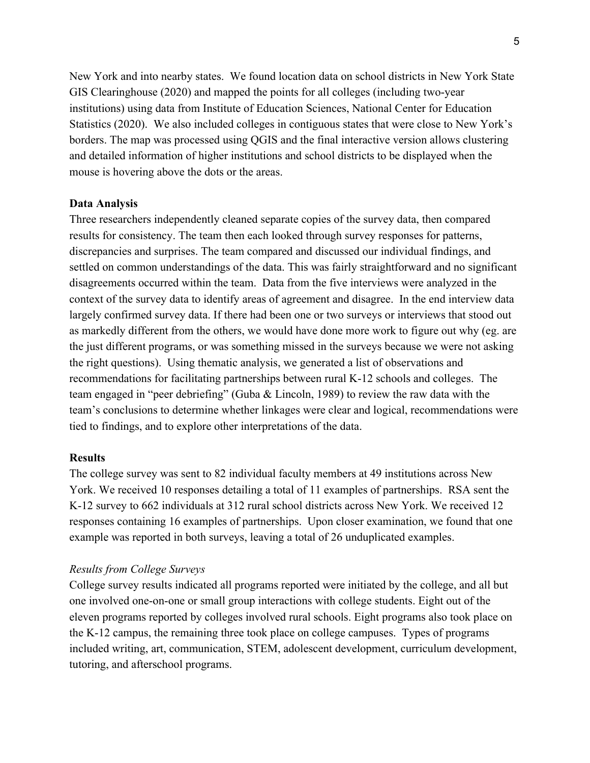New York and into nearby states. We found location data on school districts in New York State GIS Clearinghouse (2020) and mapped the points for all colleges (including two-year institutions) using data from Institute of Education Sciences, National Center for Education Statistics (2020). We also included colleges in contiguous states that were close to New York's borders. The map was processed using QGIS and the final interactive version allows clustering and detailed information of higher institutions and school districts to be displayed when the mouse is hovering above the dots or the areas.

#### **Data Analysis**

Three researchers independently cleaned separate copies of the survey data, then compared results for consistency. The team then each looked through survey responses for patterns, discrepancies and surprises. The team compared and discussed our individual findings, and settled on common understandings of the data. This was fairly straightforward and no significant disagreements occurred within the team. Data from the five interviews were analyzed in the context of the survey data to identify areas of agreement and disagree. In the end interview data largely confirmed survey data. If there had been one or two surveys or interviews that stood out as markedly different from the others, we would have done more work to figure out why (eg. are the just different programs, or was something missed in the surveys because we were not asking the right questions). Using thematic analysis, we generated a list of observations and recommendations for facilitating partnerships between rural K-12 schools and colleges. The team engaged in "peer debriefing" (Guba & Lincoln, 1989) to review the raw data with the team's conclusions to determine whether linkages were clear and logical, recommendations were tied to findings, and to explore other interpretations of the data.

#### **Results**

The college survey was sent to 82 individual faculty members at 49 institutions across New York. We received 10 responses detailing a total of 11 examples of partnerships. RSA sent the K-12 survey to 662 individuals at 312 rural school districts across New York. We received 12 responses containing 16 examples of partnerships. Upon closer examination, we found that one example was reported in both surveys, leaving a total of 26 unduplicated examples.

### *Results from College Surveys*

College survey results indicated all programs reported were initiated by the college, and all but one involved one-on-one or small group interactions with college students. Eight out of the eleven programs reported by colleges involved rural schools. Eight programs also took place on the K-12 campus, the remaining three took place on college campuses. Types of programs included writing, art, communication, STEM, adolescent development, curriculum development, tutoring, and afterschool programs.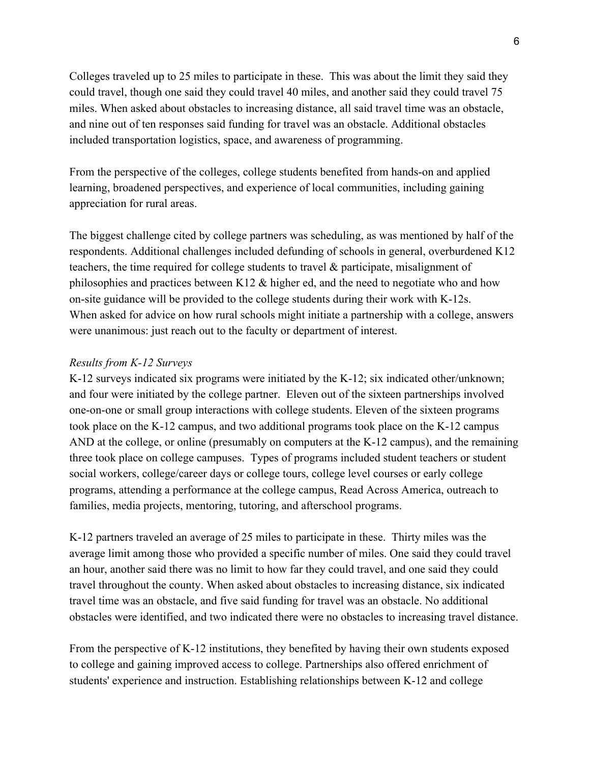Colleges traveled up to 25 miles to participate in these. This was about the limit they said they could travel, though one said they could travel 40 miles, and another said they could travel 75 miles. When asked about obstacles to increasing distance, all said travel time was an obstacle, and nine out of ten responses said funding for travel was an obstacle. Additional obstacles included transportation logistics, space, and awareness of programming.

From the perspective of the colleges, college students benefited from hands-on and applied learning, broadened perspectives, and experience of local communities, including gaining appreciation for rural areas.

The biggest challenge cited by college partners was scheduling, as was mentioned by half of the respondents. Additional challenges included defunding of schools in general, overburdened K12 teachers, the time required for college students to travel & participate, misalignment of philosophies and practices between K12 & higher ed, and the need to negotiate who and how on-site guidance will be provided to the college students during their work with K-12s. When asked for advice on how rural schools might initiate a partnership with a college, answers were unanimous: just reach out to the faculty or department of interest.

# *Results from K-12 Surveys*

K-12 surveys indicated six programs were initiated by the K-12; six indicated other/unknown; and four were initiated by the college partner. Eleven out of the sixteen partnerships involved one-on-one or small group interactions with college students. Eleven of the sixteen programs took place on the K-12 campus, and two additional programs took place on the K-12 campus AND at the college, or online (presumably on computers at the K-12 campus), and the remaining three took place on college campuses. Types of programs included student teachers or student social workers, college/career days or college tours, college level courses or early college programs, attending a performance at the college campus, Read Across America, outreach to families, media projects, mentoring, tutoring, and afterschool programs.

K-12 partners traveled an average of 25 miles to participate in these. Thirty miles was the average limit among those who provided a specific number of miles. One said they could travel an hour, another said there was no limit to how far they could travel, and one said they could travel throughout the county. When asked about obstacles to increasing distance, six indicated travel time was an obstacle, and five said funding for travel was an obstacle. No additional obstacles were identified, and two indicated there were no obstacles to increasing travel distance.

From the perspective of K-12 institutions, they benefited by having their own students exposed to college and gaining improved access to college. Partnerships also offered enrichment of students' experience and instruction. Establishing relationships between K-12 and college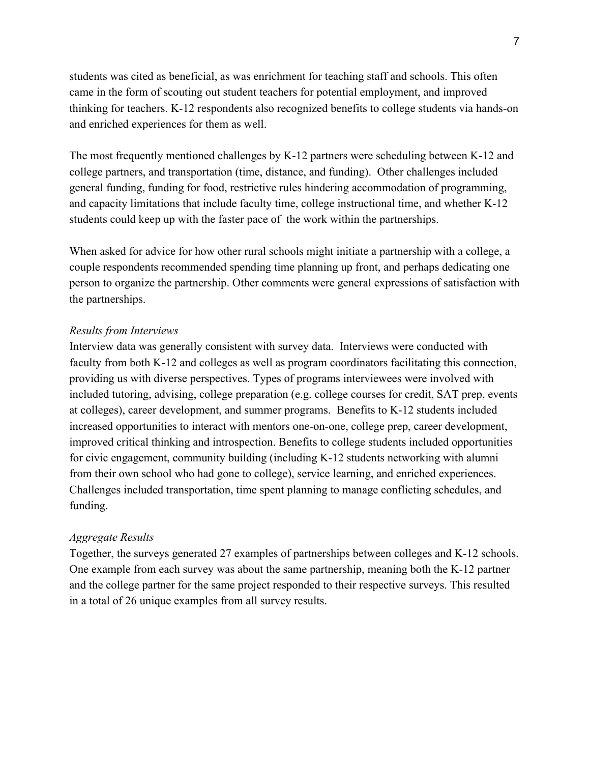students was cited as beneficial, as was enrichment for teaching staff and schools. This often came in the form of scouting out student teachers for potential employment, and improved thinking for teachers. K-12 respondents also recognized benefits to college students via hands-on and enriched experiences for them as well.

The most frequently mentioned challenges by K-12 partners were scheduling between K-12 and college partners, and transportation (time, distance, and funding). Other challenges included general funding, funding for food, restrictive rules hindering accommodation of programming, and capacity limitations that include faculty time, college instructional time, and whether K-12 students could keep up with the faster pace of the work within the partnerships.

When asked for advice for how other rural schools might initiate a partnership with a college, a couple respondents recommended spending time planning up front, and perhaps dedicating one person to organize the partnership. Other comments were general expressions of satisfaction with the partnerships.

### *Results from Interviews*

Interview data was generally consistent with survey data. Interviews were conducted with faculty from both K-12 and colleges as well as program coordinators facilitating this connection, providing us with diverse perspectives. Types of programs interviewees were involved with included tutoring, advising, college preparation (e.g. college courses for credit, SAT prep, events at colleges), career development, and summer programs. Benefits to K-12 students included increased opportunities to interact with mentors one-on-one, college prep, career development, improved critical thinking and introspection. Benefits to college students included opportunities for civic engagement, community building (including K-12 students networking with alumni from their own school who had gone to college), service learning, and enriched experiences. Challenges included transportation, time spent planning to manage conflicting schedules, and funding.

## *Aggregate Results*

Together, the surveys generated 27 examples of partnerships between colleges and K-12 schools. One example from each survey was about the same partnership, meaning both the K-12 partner and the college partner for the same project responded to their respective surveys. This resulted in a total of 26 unique examples from all survey results.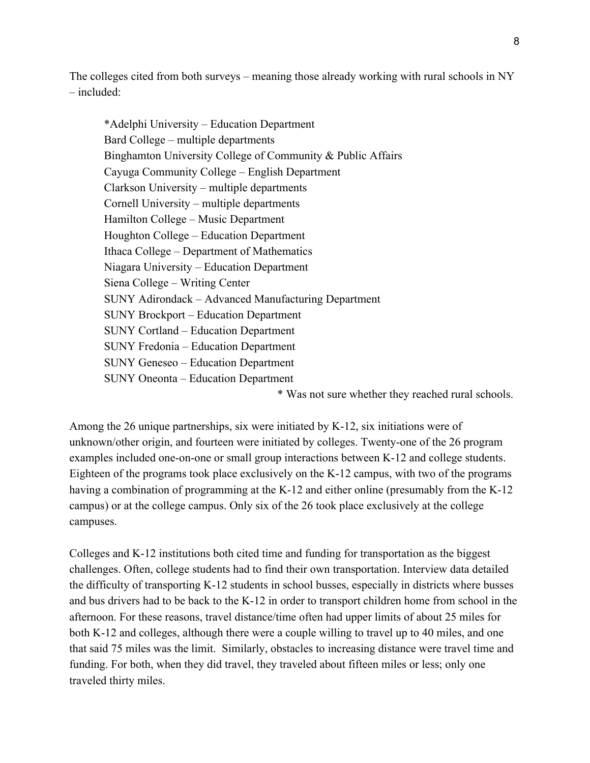The colleges cited from both surveys – meaning those already working with rural schools in NY  $-$  included $\cdot$ 

\*Adelphi University – Education Department Bard College – multiple departments Binghamton University College of Community & Public Affairs Cayuga Community College – English Department Clarkson University – multiple departments Cornell University – multiple departments Hamilton College – Music Department Houghton College – Education Department Ithaca College – Department of Mathematics Niagara University – Education Department Siena College – Writing Center SUNY Adirondack – Advanced Manufacturing Department SUNY Brockport – Education Department SUNY Cortland – Education Department SUNY Fredonia – Education Department SUNY Geneseo – Education Department SUNY Oneonta – Education Department

\* Was not sure whether they reached rural schools.

Among the 26 unique partnerships, six were initiated by K-12, six initiations were of unknown/other origin, and fourteen were initiated by colleges. Twenty-one of the 26 program examples included one-on-one or small group interactions between K-12 and college students. Eighteen of the programs took place exclusively on the K-12 campus, with two of the programs having a combination of programming at the K-12 and either online (presumably from the K-12 campus) or at the college campus. Only six of the 26 took place exclusively at the college campuses.

Colleges and K-12 institutions both cited time and funding for transportation as the biggest challenges. Often, college students had to find their own transportation. Interview data detailed the difficulty of transporting K-12 students in school busses, especially in districts where busses and bus drivers had to be back to the K-12 in order to transport children home from school in the afternoon. For these reasons, travel distance/time often had upper limits of about 25 miles for both K-12 and colleges, although there were a couple willing to travel up to 40 miles, and one that said 75 miles was the limit. Similarly, obstacles to increasing distance were travel time and funding. For both, when they did travel, they traveled about fifteen miles or less; only one traveled thirty miles.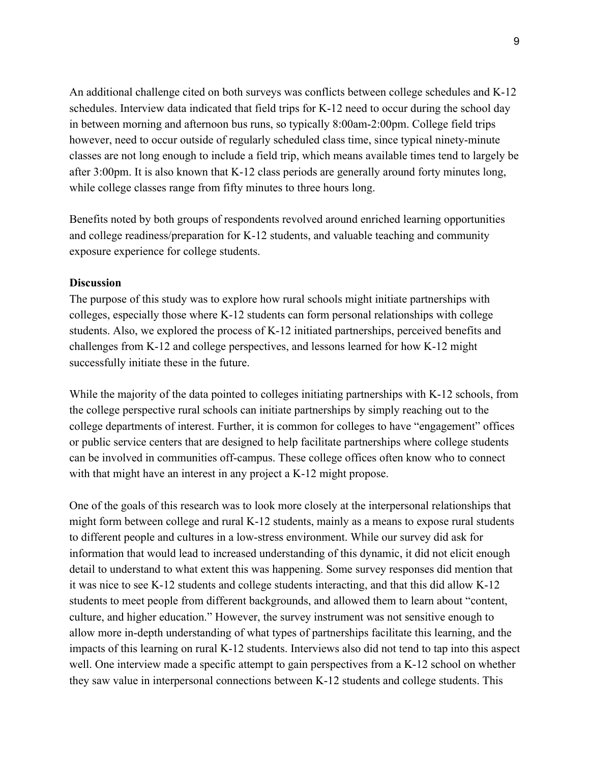An additional challenge cited on both surveys was conflicts between college schedules and K-12 schedules. Interview data indicated that field trips for K-12 need to occur during the school day in between morning and afternoon bus runs, so typically 8:00am-2:00pm. College field trips however, need to occur outside of regularly scheduled class time, since typical ninety-minute classes are not long enough to include a field trip, which means available times tend to largely be after 3:00pm. It is also known that K-12 class periods are generally around forty minutes long, while college classes range from fifty minutes to three hours long.

Benefits noted by both groups of respondents revolved around enriched learning opportunities and college readiness/preparation for K-12 students, and valuable teaching and community exposure experience for college students.

#### **Discussion**

The purpose of this study was to explore how rural schools might initiate partnerships with colleges, especially those where K-12 students can form personal relationships with college students. Also, we explored the process of K-12 initiated partnerships, perceived benefits and challenges from K-12 and college perspectives, and lessons learned for how K-12 might successfully initiate these in the future.

While the majority of the data pointed to colleges initiating partnerships with K-12 schools, from the college perspective rural schools can initiate partnerships by simply reaching out to the college departments of interest. Further, it is common for colleges to have "engagement" offices or public service centers that are designed to help facilitate partnerships where college students can be involved in communities off-campus. These college offices often know who to connect with that might have an interest in any project a K-12 might propose.

One of the goals of this research was to look more closely at the interpersonal relationships that might form between college and rural K-12 students, mainly as a means to expose rural students to different people and cultures in a low-stress environment. While our survey did ask for information that would lead to increased understanding of this dynamic, it did not elicit enough detail to understand to what extent this was happening. Some survey responses did mention that it was nice to see K-12 students and college students interacting, and that this did allow K-12 students to meet people from different backgrounds, and allowed them to learn about "content, culture, and higher education." However, the survey instrument was not sensitive enough to allow more in-depth understanding of what types of partnerships facilitate this learning, and the impacts of this learning on rural K-12 students. Interviews also did not tend to tap into this aspect well. One interview made a specific attempt to gain perspectives from a K-12 school on whether they saw value in interpersonal connections between K-12 students and college students. This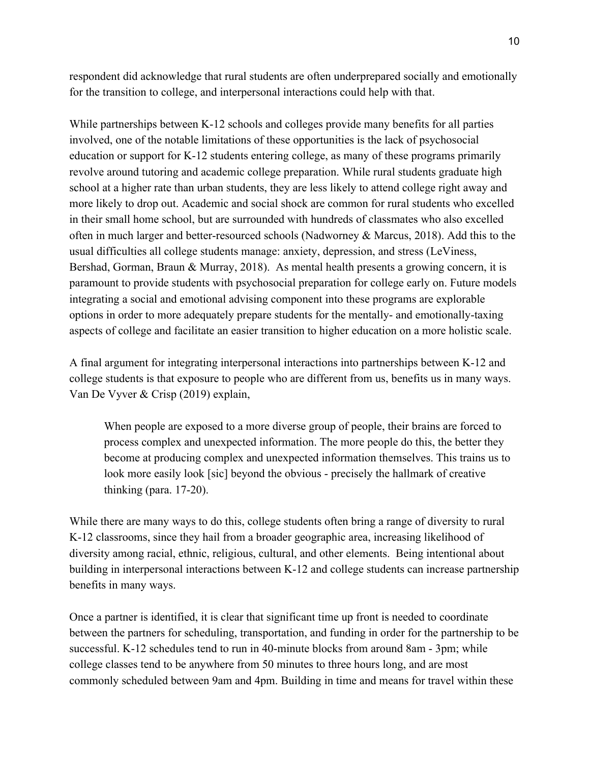respondent did acknowledge that rural students are often underprepared socially and emotionally for the transition to college, and interpersonal interactions could help with that.

While partnerships between K-12 schools and colleges provide many benefits for all parties involved, one of the notable limitations of these opportunities is the lack of psychosocial education or support for K-12 students entering college, as many of these programs primarily revolve around tutoring and academic college preparation. While rural students graduate high school at a higher rate than urban students, they are less likely to attend college right away and more likely to drop out. Academic and social shock are common for rural students who excelled in their small home school, but are surrounded with hundreds of classmates who also excelled often in much larger and better-resourced schools (Nadworney & Marcus, 2018). Add this to the usual difficulties all college students manage: anxiety, depression, and stress (LeViness, Bershad, Gorman, Braun & Murray, 2018). As mental health presents a growing concern, it is paramount to provide students with psychosocial preparation for college early on. Future models integrating a social and emotional advising component into these programs are explorable options in order to more adequately prepare students for the mentally- and emotionally-taxing aspects of college and facilitate an easier transition to higher education on a more holistic scale.

A final argument for integrating interpersonal interactions into partnerships between K-12 and college students is that exposure to people who are different from us, benefits us in many ways. Van De Vyver & Crisp (2019) explain,

When people are exposed to a more diverse group of people, their brains are forced to process complex and unexpected information. The more people do this, the better they become at producing complex and unexpected information themselves. This trains us to look more easily look [sic] beyond the obvious - precisely the hallmark of creative thinking (para. 17-20).

While there are many ways to do this, college students often bring a range of diversity to rural K-12 classrooms, since they hail from a broader geographic area, increasing likelihood of diversity among racial, ethnic, religious, cultural, and other elements. Being intentional about building in interpersonal interactions between K-12 and college students can increase partnership benefits in many ways.

Once a partner is identified, it is clear that significant time up front is needed to coordinate between the partners for scheduling, transportation, and funding in order for the partnership to be successful. K-12 schedules tend to run in 40-minute blocks from around 8am - 3pm; while college classes tend to be anywhere from 50 minutes to three hours long, and are most commonly scheduled between 9am and 4pm. Building in time and means for travel within these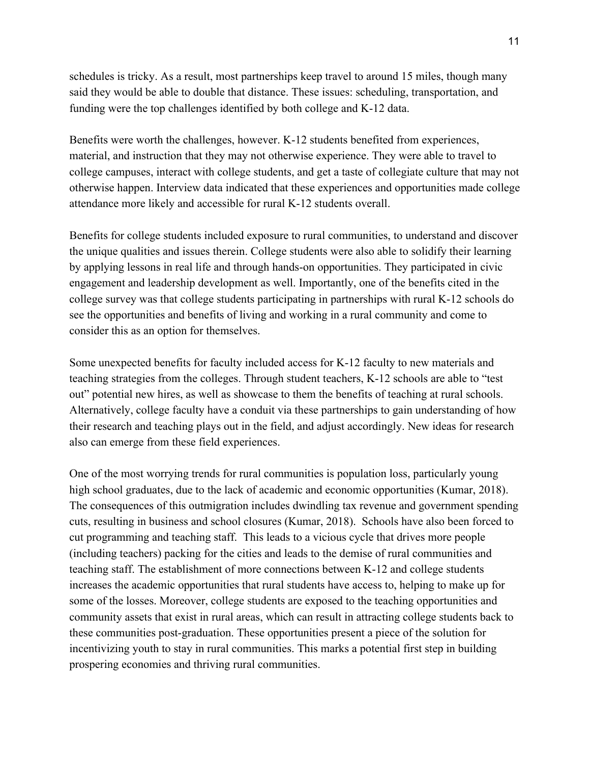schedules is tricky. As a result, most partnerships keep travel to around 15 miles, though many said they would be able to double that distance. These issues: scheduling, transportation, and funding were the top challenges identified by both college and K-12 data.

Benefits were worth the challenges, however. K-12 students benefited from experiences, material, and instruction that they may not otherwise experience. They were able to travel to college campuses, interact with college students, and get a taste of collegiate culture that may not otherwise happen. Interview data indicated that these experiences and opportunities made college attendance more likely and accessible for rural K-12 students overall.

Benefits for college students included exposure to rural communities, to understand and discover the unique qualities and issues therein. College students were also able to solidify their learning by applying lessons in real life and through hands-on opportunities. They participated in civic engagement and leadership development as well. Importantly, one of the benefits cited in the college survey was that college students participating in partnerships with rural K-12 schools do see the opportunities and benefits of living and working in a rural community and come to consider this as an option for themselves.

Some unexpected benefits for faculty included access for K-12 faculty to new materials and teaching strategies from the colleges. Through student teachers, K-12 schools are able to "test out" potential new hires, as well as showcase to them the benefits of teaching at rural schools. Alternatively, college faculty have a conduit via these partnerships to gain understanding of how their research and teaching plays out in the field, and adjust accordingly. New ideas for research also can emerge from these field experiences.

One of the most worrying trends for rural communities is population loss, particularly young high school graduates, due to the lack of academic and economic opportunities (Kumar, 2018). The consequences of this outmigration includes dwindling tax revenue and government spending cuts, resulting in business and school closures (Kumar, 2018). Schools have also been forced to cut programming and teaching staff. This leads to a vicious cycle that drives more people (including teachers) packing for the cities and leads to the demise of rural communities and teaching staff. The establishment of more connections between K-12 and college students increases the academic opportunities that rural students have access to, helping to make up for some of the losses. Moreover, college students are exposed to the teaching opportunities and community assets that exist in rural areas, which can result in attracting college students back to these communities post-graduation. These opportunities present a piece of the solution for incentivizing youth to stay in rural communities. This marks a potential first step in building prospering economies and thriving rural communities.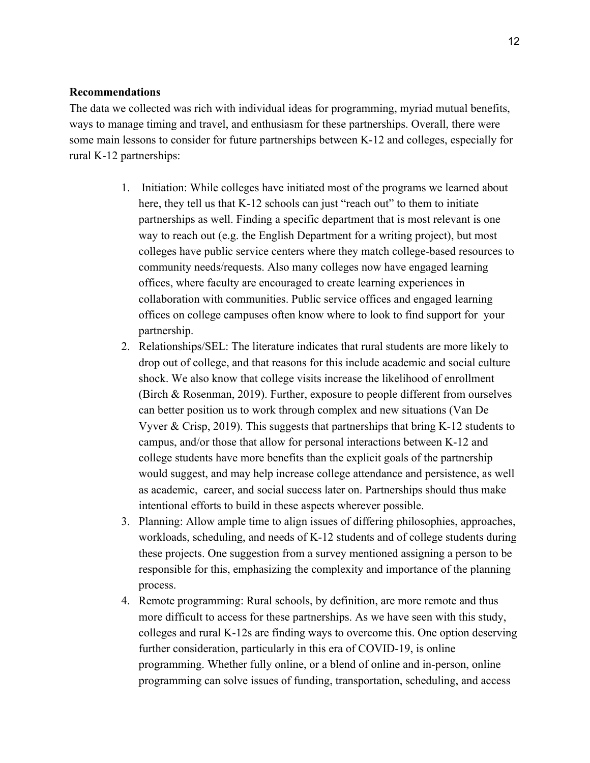### **Recommendations**

The data we collected was rich with individual ideas for programming, myriad mutual benefits, ways to manage timing and travel, and enthusiasm for these partnerships. Overall, there were some main lessons to consider for future partnerships between K-12 and colleges, especially for rural K-12 partnerships:

- 1. Initiation: While colleges have initiated most of the programs we learned about here, they tell us that K-12 schools can just "reach out" to them to initiate partnerships as well. Finding a specific department that is most relevant is one way to reach out (e.g. the English Department for a writing project), but most colleges have public service centers where they match college-based resources to community needs/requests. Also many colleges now have engaged learning offices, where faculty are encouraged to create learning experiences in collaboration with communities. Public service offices and engaged learning offices on college campuses often know where to look to find support for your partnership.
- 2. Relationships/SEL: The literature indicates that rural students are more likely to drop out of college, and that reasons for this include academic and social culture shock. We also know that college visits increase the likelihood of enrollment (Birch & Rosenman, 2019). Further, exposure to people different from ourselves can better position us to work through complex and new situations (Van De Vyver & Crisp, 2019). This suggests that partnerships that bring  $K-12$  students to campus, and/or those that allow for personal interactions between K-12 and college students have more benefits than the explicit goals of the partnership would suggest, and may help increase college attendance and persistence, as well as academic, career, and social success later on. Partnerships should thus make intentional efforts to build in these aspects wherever possible.
- 3. Planning: Allow ample time to align issues of differing philosophies, approaches, workloads, scheduling, and needs of K-12 students and of college students during these projects. One suggestion from a survey mentioned assigning a person to be responsible for this, emphasizing the complexity and importance of the planning process.
- 4. Remote programming: Rural schools, by definition, are more remote and thus more difficult to access for these partnerships. As we have seen with this study, colleges and rural K-12s are finding ways to overcome this. One option deserving further consideration, particularly in this era of COVID-19, is online programming. Whether fully online, or a blend of online and in-person, online programming can solve issues of funding, transportation, scheduling, and access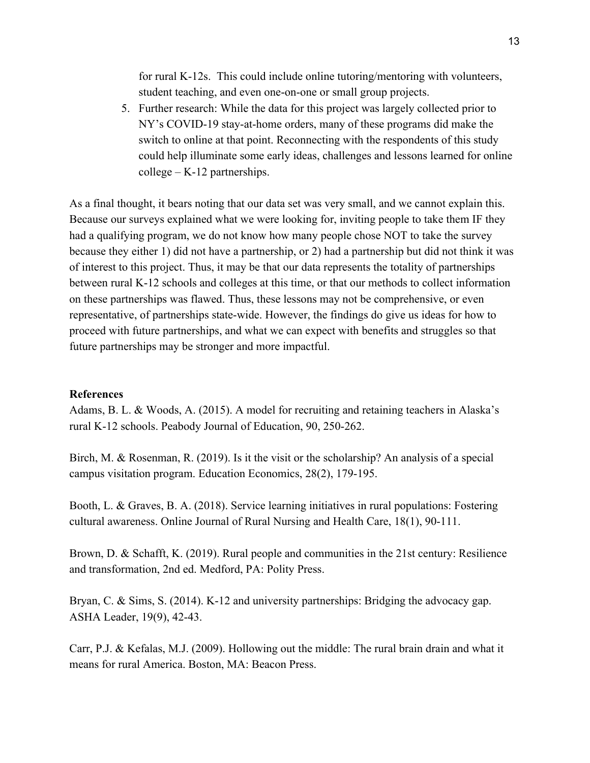for rural K-12s. This could include online tutoring/mentoring with volunteers, student teaching, and even one-on-one or small group projects.

5. Further research: While the data for this project was largely collected prior to NY's COVID-19 stay-at-home orders, many of these programs did make the switch to online at that point. Reconnecting with the respondents of this study could help illuminate some early ideas, challenges and lessons learned for online college – K-12 partnerships.

As a final thought, it bears noting that our data set was very small, and we cannot explain this. Because our surveys explained what we were looking for, inviting people to take them IF they had a qualifying program, we do not know how many people chose NOT to take the survey because they either 1) did not have a partnership, or 2) had a partnership but did not think it was of interest to this project. Thus, it may be that our data represents the totality of partnerships between rural K-12 schools and colleges at this time, or that our methods to collect information on these partnerships was flawed. Thus, these lessons may not be comprehensive, or even representative, of partnerships state-wide. However, the findings do give us ideas for how to proceed with future partnerships, and what we can expect with benefits and struggles so that future partnerships may be stronger and more impactful.

### **References**

Adams, B. L. & Woods, A. (2015). A model for recruiting and retaining teachers in Alaska's rural K-12 schools. Peabody Journal of Education, 90, 250-262.

Birch, M. & Rosenman, R. (2019). Is it the visit or the scholarship? An analysis of a special campus visitation program. Education Economics, 28(2), 179-195.

Booth, L. & Graves, B. A. (2018). Service learning initiatives in rural populations: Fostering cultural awareness. Online Journal of Rural Nursing and Health Care, 18(1), 90-111.

Brown, D. & Schafft, K. (2019). Rural people and communities in the 21st century: Resilience and transformation, 2nd ed. Medford, PA: Polity Press.

Bryan, C. & Sims, S. (2014). K-12 and university partnerships: Bridging the advocacy gap. ASHA Leader, 19(9), 42-43.

Carr, P.J. & Kefalas, M.J. (2009). Hollowing out the middle: The rural brain drain and what it means for rural America. Boston, MA: Beacon Press.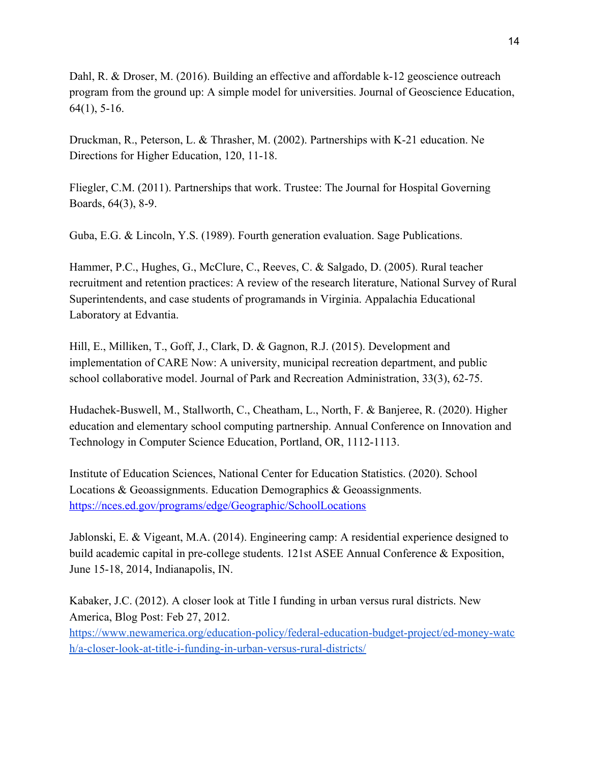Dahl, R. & Droser, M. (2016). Building an effective and affordable k-12 geoscience outreach program from the ground up: A simple model for universities. Journal of Geoscience Education, 64(1), 5-16.

Druckman, R., Peterson, L. & Thrasher, M. (2002). Partnerships with K-21 education. Ne Directions for Higher Education, 120, 11-18.

Fliegler, C.M. (2011). Partnerships that work. Trustee: The Journal for Hospital Governing Boards, 64(3), 8-9.

Guba, E.G. & Lincoln, Y.S. (1989). Fourth generation evaluation. Sage Publications.

Hammer, P.C., Hughes, G., McClure, C., Reeves, C. & Salgado, D. (2005). Rural teacher recruitment and retention practices: A review of the research literature, National Survey of Rural Superintendents, and case students of programands in Virginia. Appalachia Educational Laboratory at Edvantia.

Hill, E., Milliken, T., Goff, J., Clark, D. & Gagnon, R.J. (2015). Development and implementation of CARE Now: A university, municipal recreation department, and public school collaborative model. Journal of Park and Recreation Administration, 33(3), 62-75.

Hudachek-Buswell, M., Stallworth, C., Cheatham, L., North, F. & Banjeree, R. (2020). Higher education and elementary school computing partnership. Annual Conference on Innovation and Technology in Computer Science Education, Portland, OR, 1112-1113.

Institute of Education Sciences, National Center for Education Statistics. (2020). School Locations & Geoassignments. Education Demographics & Geoassignments. <https://nces.ed.gov/programs/edge/Geographic/SchoolLocations>

Jablonski, E. & Vigeant, M.A. (2014). Engineering camp: A residential experience designed to build academic capital in pre-college students. 121st ASEE Annual Conference & Exposition, June 15-18, 2014, Indianapolis, IN.

Kabaker, J.C. (2012). A closer look at Title I funding in urban versus rural districts. New America, Blog Post: Feb 27, 2012.

[https://www.newamerica.org/education-policy/federal-education-budget-project/ed-money-watc](https://www.newamerica.org/education-policy/federal-education-budget-project/ed-money-watch/a-closer-look-at-title-i-funding-in-urban-versus-rural-districts/) [h/a-closer-look-at-title-i-funding-in-urban-versus-rural-districts/](https://www.newamerica.org/education-policy/federal-education-budget-project/ed-money-watch/a-closer-look-at-title-i-funding-in-urban-versus-rural-districts/)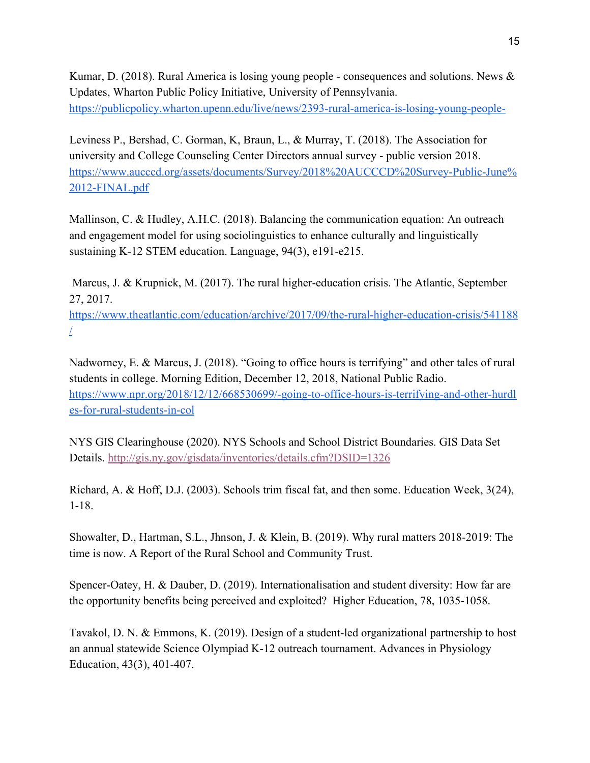Kumar, D. (2018). Rural America is losing young people - consequences and solutions. News  $\&$ Updates, Wharton Public Policy Initiative, University of Pennsylvania. <https://publicpolicy.wharton.upenn.edu/live/news/2393-rural-america-is-losing-young-people->

Leviness P., Bershad, C. Gorman, K, Braun, L., & Murray, T. (2018). The Association for university and College Counseling Center Directors annual survey - public version 2018. [https://www.aucccd.org/assets/documents/Survey/2018%20AUCCCD%20Survey-Public-June%](https://www.aucccd.org/assets/documents/Survey/2018%20AUCCCD%20Survey-Public-June%2012-FINAL.pdf) [2012-FINAL.pdf](https://www.aucccd.org/assets/documents/Survey/2018%20AUCCCD%20Survey-Public-June%2012-FINAL.pdf)

Mallinson, C. & Hudley, A.H.C. (2018). Balancing the communication equation: An outreach and engagement model for using sociolinguistics to enhance culturally and linguistically sustaining K-12 STEM education. Language, 94(3), e191-e215.

 Marcus, J. & Krupnick, M. (2017). The rural higher-education crisis. The Atlantic, September 27, 2017.

[https://www.theatlantic.com/education/archive/2017/09/the-rural-higher-education-crisis/541188](https://www.theatlantic.com/education/archive/2017/09/the-rural-higher-education-crisis/541188/) [/](https://www.theatlantic.com/education/archive/2017/09/the-rural-higher-education-crisis/541188/)

Nadworney, E. & Marcus, J. (2018). "Going to office hours is terrifying" and other tales of rural students in college. Morning Edition, December 12, 2018, National Public Radio. [https://www.npr.org/2018/12/12/668530699/-going-to-office-hours-is-terrifying-and-other-hurdl](https://www.npr.org/2018/12/12/668530699/-going-to-office-hours-is-terrifying-and-other-hurdles-for-rural-students-in-col) [es-for-rural-students-in-col](https://www.npr.org/2018/12/12/668530699/-going-to-office-hours-is-terrifying-and-other-hurdles-for-rural-students-in-col)

NYS GIS Clearinghouse (2020). NYS Schools and School District Boundaries. GIS Data Set Details. <http://gis.ny.gov/gisdata/inventories/details.cfm?DSID=1326>

Richard, A. & Hoff, D.J. (2003). Schools trim fiscal fat, and then some. Education Week, 3(24), 1-18.

Showalter, D., Hartman, S.L., Jhnson, J. & Klein, B. (2019). Why rural matters 2018-2019: The time is now. A Report of the Rural School and Community Trust.

Spencer-Oatey, H. & Dauber, D. (2019). Internationalisation and student diversity: How far are the opportunity benefits being perceived and exploited? Higher Education, 78, 1035-1058.

Tavakol, D. N. & Emmons, K. (2019). Design of a student-led organizational partnership to host an annual statewide Science Olympiad K-12 outreach tournament. Advances in Physiology Education, 43(3), 401-407.